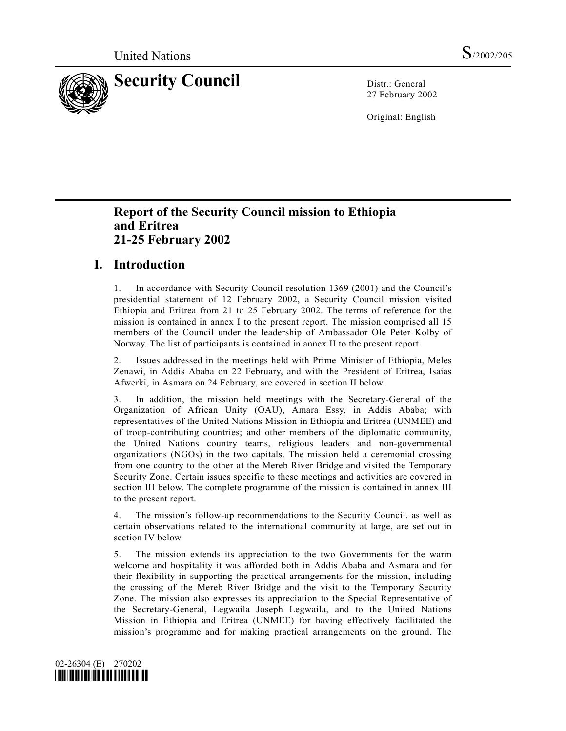

27 February 2002

Original: English

# **Report of the Security Council mission to Ethiopia and Eritrea 21-25 February 2002**

# **I. Introduction**

1. In accordance with Security Council resolution 1369 (2001) and the Council's presidential statement of 12 February 2002, a Security Council mission visited Ethiopia and Eritrea from 21 to 25 February 2002. The terms of reference for the mission is contained in annex I to the present report. The mission comprised all 15 members of the Council under the leadership of Ambassador Ole Peter Kolby of Norway. The list of participants is contained in annex II to the present report.

2. Issues addressed in the meetings held with Prime Minister of Ethiopia, Meles Zenawi, in Addis Ababa on 22 February, and with the President of Eritrea, Isaias Afwerki, in Asmara on 24 February, are covered in section II below.

3. In addition, the mission held meetings with the Secretary-General of the Organization of African Unity (OAU), Amara Essy, in Addis Ababa; with representatives of the United Nations Mission in Ethiopia and Eritrea (UNMEE) and of troop-contributing countries; and other members of the diplomatic community, the United Nations country teams, religious leaders and non-governmental organizations (NGOs) in the two capitals. The mission held a ceremonial crossing from one country to the other at the Mereb River Bridge and visited the Temporary Security Zone. Certain issues specific to these meetings and activities are covered in section III below. The complete programme of the mission is contained in annex III to the present report.

4. The mission's follow-up recommendations to the Security Council, as well as certain observations related to the international community at large, are set out in section IV below.

5. The mission extends its appreciation to the two Governments for the warm welcome and hospitality it was afforded both in Addis Ababa and Asmara and for their flexibility in supporting the practical arrangements for the mission, including the crossing of the Mereb River Bridge and the visit to the Temporary Security Zone. The mission also expresses its appreciation to the Special Representative of the Secretary-General, Legwaila Joseph Legwaila, and to the United Nations Mission in Ethiopia and Eritrea (UNMEE) for having effectively facilitated the mission's programme and for making practical arrangements on the ground. The

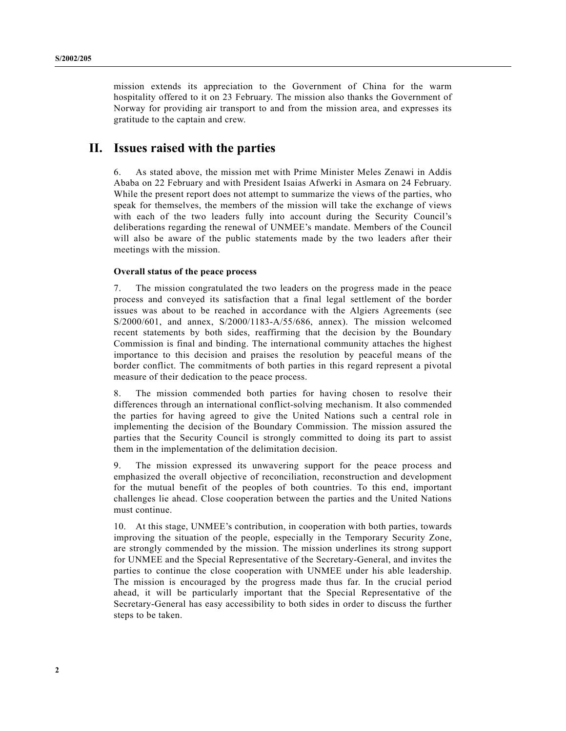mission extends its appreciation to the Government of China for the warm hospitality offered to it on 23 February. The mission also thanks the Government of Norway for providing air transport to and from the mission area, and expresses its gratitude to the captain and crew.

## **II. Issues raised with the parties**

6. As stated above, the mission met with Prime Minister Meles Zenawi in Addis Ababa on 22 February and with President Isaias Afwerki in Asmara on 24 February. While the present report does not attempt to summarize the views of the parties, who speak for themselves, the members of the mission will take the exchange of views with each of the two leaders fully into account during the Security Council's deliberations regarding the renewal of UNMEE's mandate. Members of the Council will also be aware of the public statements made by the two leaders after their meetings with the mission.

## **Overall status of the peace process**

7. The mission congratulated the two leaders on the progress made in the peace process and conveyed its satisfaction that a final legal settlement of the border issues was about to be reached in accordance with the Algiers Agreements (see S/2000/601, and annex, S/2000/1183-A/55/686, annex). The mission welcomed recent statements by both sides, reaffirming that the decision by the Boundary Commission is final and binding. The international community attaches the highest importance to this decision and praises the resolution by peaceful means of the border conflict. The commitments of both parties in this regard represent a pivotal measure of their dedication to the peace process.

8. The mission commended both parties for having chosen to resolve their differences through an international conflict-solving mechanism. It also commended the parties for having agreed to give the United Nations such a central role in implementing the decision of the Boundary Commission. The mission assured the parties that the Security Council is strongly committed to doing its part to assist them in the implementation of the delimitation decision.

9. The mission expressed its unwavering support for the peace process and emphasized the overall objective of reconciliation, reconstruction and development for the mutual benefit of the peoples of both countries. To this end, important challenges lie ahead. Close cooperation between the parties and the United Nations must continue.

10. At this stage, UNMEE's contribution, in cooperation with both parties, towards improving the situation of the people, especially in the Temporary Security Zone, are strongly commended by the mission. The mission underlines its strong support for UNMEE and the Special Representative of the Secretary-General, and invites the parties to continue the close cooperation with UNMEE under his able leadership. The mission is encouraged by the progress made thus far. In the crucial period ahead, it will be particularly important that the Special Representative of the Secretary-General has easy accessibility to both sides in order to discuss the further steps to be taken.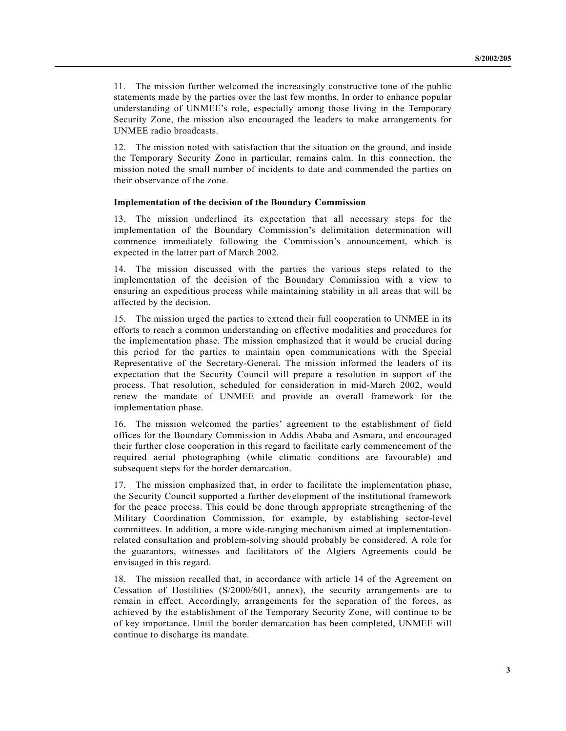11. The mission further welcomed the increasingly constructive tone of the public statements made by the parties over the last few months. In order to enhance popular understanding of UNMEE's role, especially among those living in the Temporary Security Zone, the mission also encouraged the leaders to make arrangements for UNMEE radio broadcasts.

12. The mission noted with satisfaction that the situation on the ground, and inside the Temporary Security Zone in particular, remains calm. In this connection, the mission noted the small number of incidents to date and commended the parties on their observance of the zone.

#### **Implementation of the decision of the Boundary Commission**

13. The mission underlined its expectation that all necessary steps for the implementation of the Boundary Commission's delimitation determination will commence immediately following the Commission's announcement, which is expected in the latter part of March 2002.

14. The mission discussed with the parties the various steps related to the implementation of the decision of the Boundary Commission with a view to ensuring an expeditious process while maintaining stability in all areas that will be affected by the decision.

15. The mission urged the parties to extend their full cooperation to UNMEE in its efforts to reach a common understanding on effective modalities and procedures for the implementation phase. The mission emphasized that it would be crucial during this period for the parties to maintain open communications with the Special Representative of the Secretary-General. The mission informed the leaders of its expectation that the Security Council will prepare a resolution in support of the process. That resolution, scheduled for consideration in mid-March 2002, would renew the mandate of UNMEE and provide an overall framework for the implementation phase.

16. The mission welcomed the parties' agreement to the establishment of field offices for the Boundary Commission in Addis Ababa and Asmara, and encouraged their further close cooperation in this regard to facilitate early commencement of the required aerial photographing (while climatic conditions are favourable) and subsequent steps for the border demarcation.

17. The mission emphasized that, in order to facilitate the implementation phase, the Security Council supported a further development of the institutional framework for the peace process. This could be done through appropriate strengthening of the Military Coordination Commission, for example, by establishing sector-level committees. In addition, a more wide-ranging mechanism aimed at implementationrelated consultation and problem-solving should probably be considered. A role for the guarantors, witnesses and facilitators of the Algiers Agreements could be envisaged in this regard.

18. The mission recalled that, in accordance with article 14 of the Agreement on Cessation of Hostilities (S/2000/601, annex), the security arrangements are to remain in effect. Accordingly, arrangements for the separation of the forces, as achieved by the establishment of the Temporary Security Zone, will continue to be of key importance. Until the border demarcation has been completed, UNMEE will continue to discharge its mandate.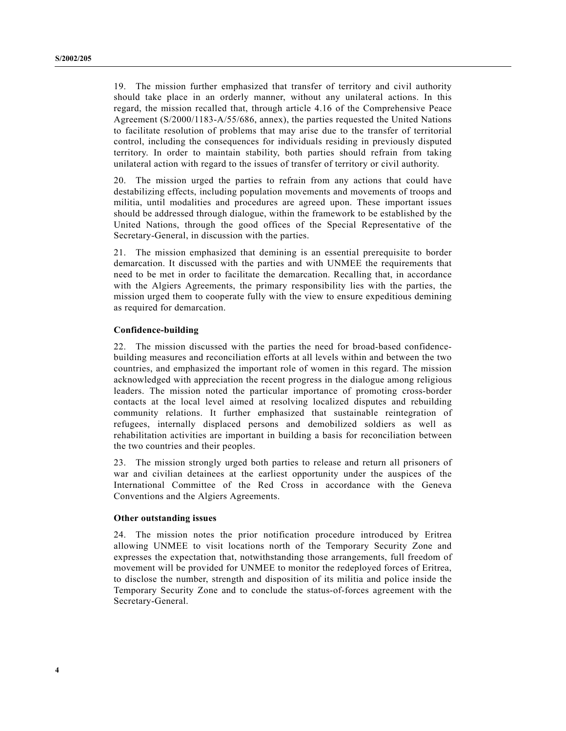19. The mission further emphasized that transfer of territory and civil authority should take place in an orderly manner, without any unilateral actions. In this regard, the mission recalled that, through article 4.16 of the Comprehensive Peace Agreement (S/2000/1183-A/55/686, annex), the parties requested the United Nations to facilitate resolution of problems that may arise due to the transfer of territorial control, including the consequences for individuals residing in previously disputed territory. In order to maintain stability, both parties should refrain from taking unilateral action with regard to the issues of transfer of territory or civil authority.

20. The mission urged the parties to refrain from any actions that could have destabilizing effects, including population movements and movements of troops and militia, until modalities and procedures are agreed upon. These important issues should be addressed through dialogue, within the framework to be established by the United Nations, through the good offices of the Special Representative of the Secretary-General, in discussion with the parties.

21. The mission emphasized that demining is an essential prerequisite to border demarcation. It discussed with the parties and with UNMEE the requirements that need to be met in order to facilitate the demarcation. Recalling that, in accordance with the Algiers Agreements, the primary responsibility lies with the parties, the mission urged them to cooperate fully with the view to ensure expeditious demining as required for demarcation.

### **Confidence-building**

22. The mission discussed with the parties the need for broad-based confidencebuilding measures and reconciliation efforts at all levels within and between the two countries, and emphasized the important role of women in this regard. The mission acknowledged with appreciation the recent progress in the dialogue among religious leaders. The mission noted the particular importance of promoting cross-border contacts at the local level aimed at resolving localized disputes and rebuilding community relations. It further emphasized that sustainable reintegration of refugees, internally displaced persons and demobilized soldiers as well as rehabilitation activities are important in building a basis for reconciliation between the two countries and their peoples.

23. The mission strongly urged both parties to release and return all prisoners of war and civilian detainees at the earliest opportunity under the auspices of the International Committee of the Red Cross in accordance with the Geneva Conventions and the Algiers Agreements.

#### **Other outstanding issues**

24. The mission notes the prior notification procedure introduced by Eritrea allowing UNMEE to visit locations north of the Temporary Security Zone and expresses the expectation that, notwithstanding those arrangements, full freedom of movement will be provided for UNMEE to monitor the redeployed forces of Eritrea, to disclose the number, strength and disposition of its militia and police inside the Temporary Security Zone and to conclude the status-of-forces agreement with the Secretary-General.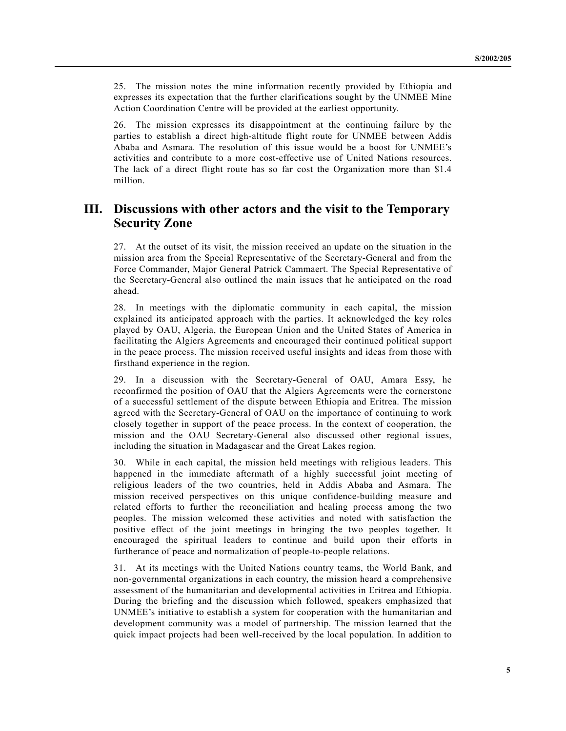25. The mission notes the mine information recently provided by Ethiopia and expresses its expectation that the further clarifications sought by the UNMEE Mine Action Coordination Centre will be provided at the earliest opportunity.

26. The mission expresses its disappointment at the continuing failure by the parties to establish a direct high-altitude flight route for UNMEE between Addis Ababa and Asmara. The resolution of this issue would be a boost for UNMEE's activities and contribute to a more cost-effective use of United Nations resources. The lack of a direct flight route has so far cost the Organization more than \$1.4 million.

## **III. Discussions with other actors and the visit to the Temporary Security Zone**

27. At the outset of its visit, the mission received an update on the situation in the mission area from the Special Representative of the Secretary-General and from the Force Commander, Major General Patrick Cammaert. The Special Representative of the Secretary-General also outlined the main issues that he anticipated on the road ahead.

28. In meetings with the diplomatic community in each capital, the mission explained its anticipated approach with the parties. It acknowledged the key roles played by OAU, Algeria, the European Union and the United States of America in facilitating the Algiers Agreements and encouraged their continued political support in the peace process. The mission received useful insights and ideas from those with firsthand experience in the region.

29. In a discussion with the Secretary-General of OAU, Amara Essy, he reconfirmed the position of OAU that the Algiers Agreements were the cornerstone of a successful settlement of the dispute between Ethiopia and Eritrea. The mission agreed with the Secretary-General of OAU on the importance of continuing to work closely together in support of the peace process. In the context of cooperation, the mission and the OAU Secretary-General also discussed other regional issues, including the situation in Madagascar and the Great Lakes region.

30. While in each capital, the mission held meetings with religious leaders. This happened in the immediate aftermath of a highly successful joint meeting of religious leaders of the two countries, held in Addis Ababa and Asmara. The mission received perspectives on this unique confidence-building measure and related efforts to further the reconciliation and healing process among the two peoples. The mission welcomed these activities and noted with satisfaction the positive effect of the joint meetings in bringing the two peoples together. It encouraged the spiritual leaders to continue and build upon their efforts in furtherance of peace and normalization of people-to-people relations.

31. At its meetings with the United Nations country teams, the World Bank, and non-governmental organizations in each country, the mission heard a comprehensive assessment of the humanitarian and developmental activities in Eritrea and Ethiopia. During the briefing and the discussion which followed, speakers emphasized that UNMEE's initiative to establish a system for cooperation with the humanitarian and development community was a model of partnership. The mission learned that the quick impact projects had been well-received by the local population. In addition to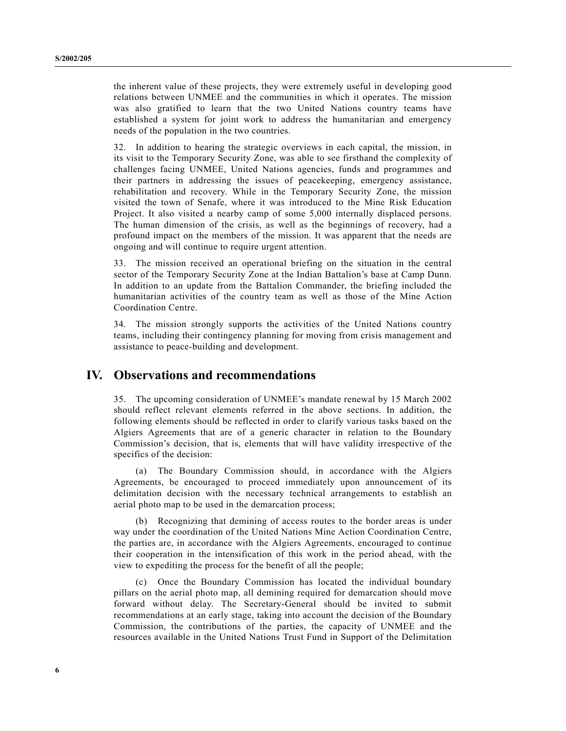the inherent value of these projects, they were extremely useful in developing good relations between UNMEE and the communities in which it operates. The mission was also gratified to learn that the two United Nations country teams have established a system for joint work to address the humanitarian and emergency needs of the population in the two countries.

32. In addition to hearing the strategic overviews in each capital, the mission, in its visit to the Temporary Security Zone, was able to see firsthand the complexity of challenges facing UNMEE, United Nations agencies, funds and programmes and their partners in addressing the issues of peacekeeping, emergency assistance, rehabilitation and recovery. While in the Temporary Security Zone, the mission visited the town of Senafe, where it was introduced to the Mine Risk Education Project. It also visited a nearby camp of some 5,000 internally displaced persons. The human dimension of the crisis, as well as the beginnings of recovery, had a profound impact on the members of the mission. It was apparent that the needs are ongoing and will continue to require urgent attention.

33. The mission received an operational briefing on the situation in the central sector of the Temporary Security Zone at the Indian Battalion's base at Camp Dunn. In addition to an update from the Battalion Commander, the briefing included the humanitarian activities of the country team as well as those of the Mine Action Coordination Centre.

34. The mission strongly supports the activities of the United Nations country teams, including their contingency planning for moving from crisis management and assistance to peace-building and development.

## **IV. Observations and recommendations**

35. The upcoming consideration of UNMEE's mandate renewal by 15 March 2002 should reflect relevant elements referred in the above sections. In addition, the following elements should be reflected in order to clarify various tasks based on the Algiers Agreements that are of a generic character in relation to the Boundary Commission's decision, that is, elements that will have validity irrespective of the specifics of the decision:

(a) The Boundary Commission should, in accordance with the Algiers Agreements, be encouraged to proceed immediately upon announcement of its delimitation decision with the necessary technical arrangements to establish an aerial photo map to be used in the demarcation process;

(b) Recognizing that demining of access routes to the border areas is under way under the coordination of the United Nations Mine Action Coordination Centre, the parties are, in accordance with the Algiers Agreements, encouraged to continue their cooperation in the intensification of this work in the period ahead, with the view to expediting the process for the benefit of all the people;

Once the Boundary Commission has located the individual boundary pillars on the aerial photo map, all demining required for demarcation should move forward without delay. The Secretary-General should be invited to submit recommendations at an early stage, taking into account the decision of the Boundary Commission, the contributions of the parties, the capacity of UNMEE and the resources available in the United Nations Trust Fund in Support of the Delimitation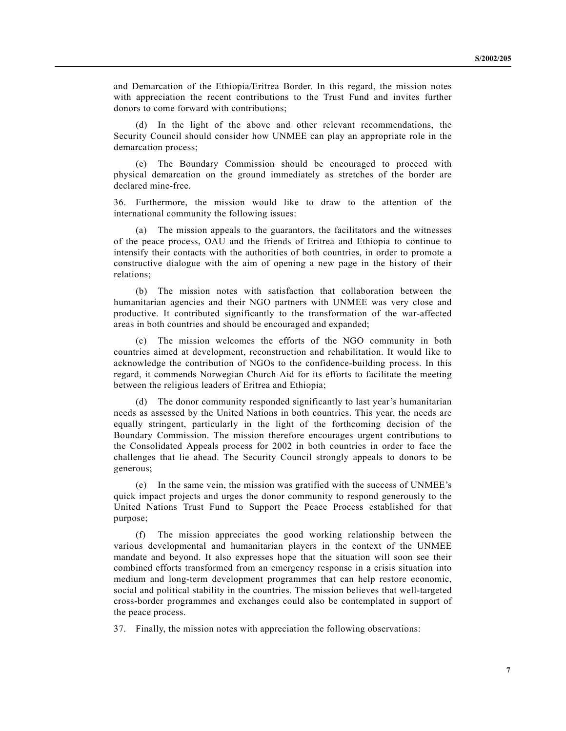and Demarcation of the Ethiopia/Eritrea Border. In this regard, the mission notes with appreciation the recent contributions to the Trust Fund and invites further donors to come forward with contributions;

(d) In the light of the above and other relevant recommendations, the Security Council should consider how UNMEE can play an appropriate role in the demarcation process;

(e) The Boundary Commission should be encouraged to proceed with physical demarcation on the ground immediately as stretches of the border are declared mine-free.

36. Furthermore, the mission would like to draw to the attention of the international community the following issues:

The mission appeals to the guarantors, the facilitators and the witnesses of the peace process, OAU and the friends of Eritrea and Ethiopia to continue to intensify their contacts with the authorities of both countries, in order to promote a constructive dialogue with the aim of opening a new page in the history of their relations;

(b) The mission notes with satisfaction that collaboration between the humanitarian agencies and their NGO partners with UNMEE was very close and productive. It contributed significantly to the transformation of the war-affected areas in both countries and should be encouraged and expanded;

(c) The mission welcomes the efforts of the NGO community in both countries aimed at development, reconstruction and rehabilitation. It would like to acknowledge the contribution of NGOs to the confidence-building process. In this regard, it commends Norwegian Church Aid for its efforts to facilitate the meeting between the religious leaders of Eritrea and Ethiopia;

(d) The donor community responded significantly to last year's humanitarian needs as assessed by the United Nations in both countries. This year, the needs are equally stringent, particularly in the light of the forthcoming decision of the Boundary Commission. The mission therefore encourages urgent contributions to the Consolidated Appeals process for 2002 in both countries in order to face the challenges that lie ahead. The Security Council strongly appeals to donors to be generous;

(e) In the same vein, the mission was gratified with the success of UNMEE's quick impact projects and urges the donor community to respond generously to the United Nations Trust Fund to Support the Peace Process established for that purpose;

(f) The mission appreciates the good working relationship between the various developmental and humanitarian players in the context of the UNMEE mandate and beyond. It also expresses hope that the situation will soon see their combined efforts transformed from an emergency response in a crisis situation into medium and long-term development programmes that can help restore economic, social and political stability in the countries. The mission believes that well-targeted cross-border programmes and exchanges could also be contemplated in support of the peace process.

37. Finally, the mission notes with appreciation the following observations: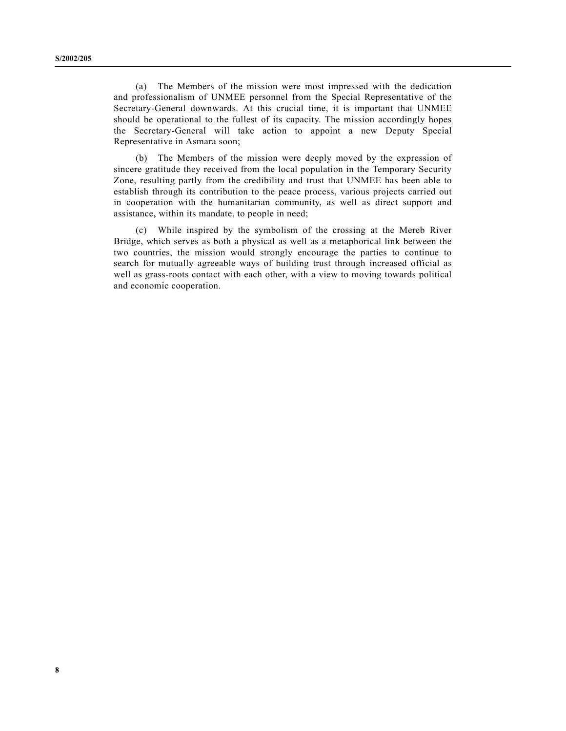(a) The Members of the mission were most impressed with the dedication and professionalism of UNMEE personnel from the Special Representative of the Secretary-General downwards. At this crucial time, it is important that UNMEE should be operational to the fullest of its capacity. The mission accordingly hopes the Secretary-General will take action to appoint a new Deputy Special Representative in Asmara soon;

(b) The Members of the mission were deeply moved by the expression of sincere gratitude they received from the local population in the Temporary Security Zone, resulting partly from the credibility and trust that UNMEE has been able to establish through its contribution to the peace process, various projects carried out in cooperation with the humanitarian community, as well as direct support and assistance, within its mandate, to people in need;

(c) While inspired by the symbolism of the crossing at the Mereb River Bridge, which serves as both a physical as well as a metaphorical link between the two countries, the mission would strongly encourage the parties to continue to search for mutually agreeable ways of building trust through increased official as well as grass-roots contact with each other, with a view to moving towards political and economic cooperation.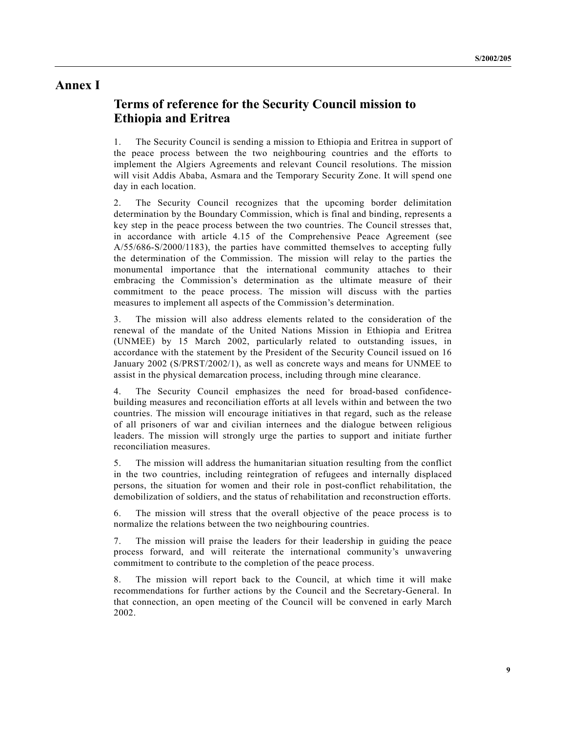## **Annex I**

# **Terms of reference for the Security Council mission to Ethiopia and Eritrea**

1. The Security Council is sending a mission to Ethiopia and Eritrea in support of the peace process between the two neighbouring countries and the efforts to implement the Algiers Agreements and relevant Council resolutions. The mission will visit Addis Ababa, Asmara and the Temporary Security Zone. It will spend one day in each location.

2. The Security Council recognizes that the upcoming border delimitation determination by the Boundary Commission, which is final and binding, represents a key step in the peace process between the two countries. The Council stresses that, in accordance with article 4.15 of the Comprehensive Peace Agreement (see A/55/686-S/2000/1183), the parties have committed themselves to accepting fully the determination of the Commission. The mission will relay to the parties the monumental importance that the international community attaches to their embracing the Commission's determination as the ultimate measure of their commitment to the peace process. The mission will discuss with the parties measures to implement all aspects of the Commission's determination.

3. The mission will also address elements related to the consideration of the renewal of the mandate of the United Nations Mission in Ethiopia and Eritrea (UNMEE) by 15 March 2002, particularly related to outstanding issues, in accordance with the statement by the President of the Security Council issued on 16 January 2002 (S/PRST/2002/1), as well as concrete ways and means for UNMEE to assist in the physical demarcation process, including through mine clearance.

4. The Security Council emphasizes the need for broad-based confidencebuilding measures and reconciliation efforts at all levels within and between the two countries. The mission will encourage initiatives in that regard, such as the release of all prisoners of war and civilian internees and the dialogue between religious leaders. The mission will strongly urge the parties to support and initiate further reconciliation measures.

5. The mission will address the humanitarian situation resulting from the conflict in the two countries, including reintegration of refugees and internally displaced persons, the situation for women and their role in post-conflict rehabilitation, the demobilization of soldiers, and the status of rehabilitation and reconstruction efforts.

6. The mission will stress that the overall objective of the peace process is to normalize the relations between the two neighbouring countries.

7. The mission will praise the leaders for their leadership in guiding the peace process forward, and will reiterate the international community's unwavering commitment to contribute to the completion of the peace process.

8. The mission will report back to the Council, at which time it will make recommendations for further actions by the Council and the Secretary-General. In that connection, an open meeting of the Council will be convened in early March 2002.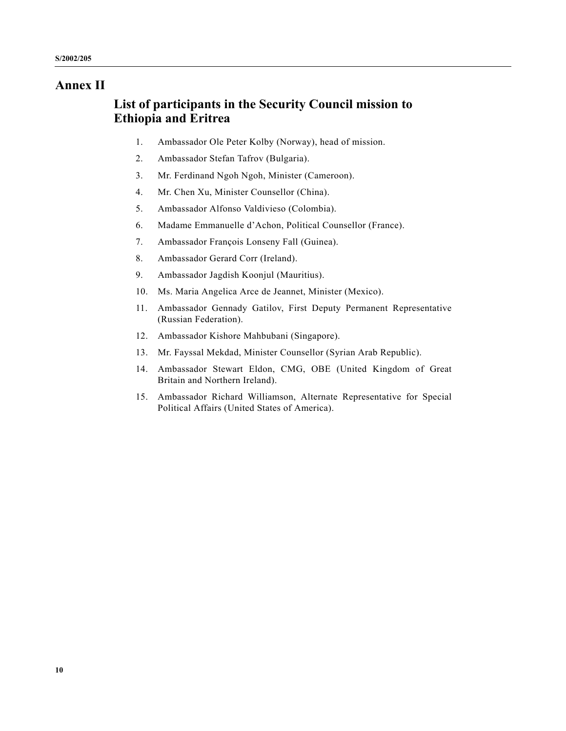# **Annex II**

# **List of participants in the Security Council mission to Ethiopia and Eritrea**

- 1. Ambassador Ole Peter Kolby (Norway), head of mission.
- 2. Ambassador Stefan Tafrov (Bulgaria).
- 3. Mr. Ferdinand Ngoh Ngoh, Minister (Cameroon).
- 4. Mr. Chen Xu, Minister Counsellor (China).
- 5. Ambassador Alfonso Valdivieso (Colombia).
- 6. Madame Emmanuelle d'Achon, Political Counsellor (France).
- 7. Ambassador François Lonseny Fall (Guinea).
- 8. Ambassador Gerard Corr (Ireland).
- 9. Ambassador Jagdish Koonjul (Mauritius).
- 10. Ms. Maria Angelica Arce de Jeannet, Minister (Mexico).
- 11. Ambassador Gennady Gatilov, First Deputy Permanent Representative (Russian Federation).
- 12. Ambassador Kishore Mahbubani (Singapore).
- 13. Mr. Fayssal Mekdad, Minister Counsellor (Syrian Arab Republic).
- 14. Ambassador Stewart Eldon, CMG, OBE (United Kingdom of Great Britain and Northern Ireland).
- 15. Ambassador Richard Williamson, Alternate Representative for Special Political Affairs (United States of America).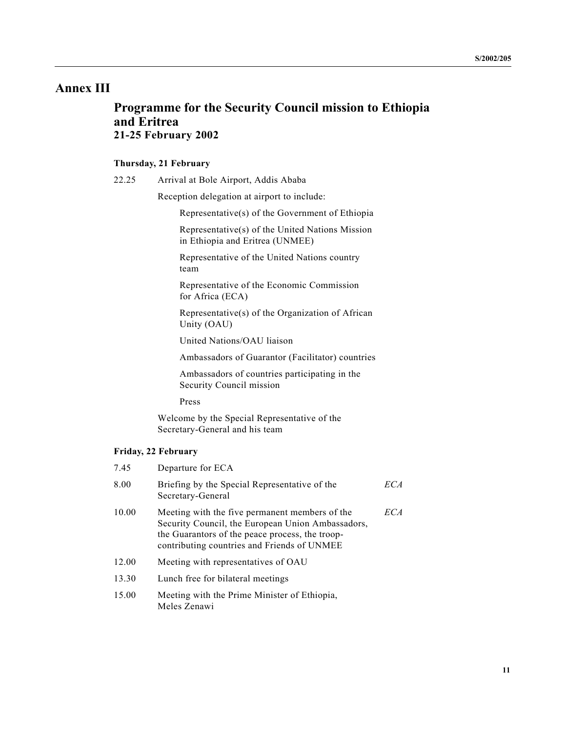# **Annex III**

# **Programme for the Security Council mission to Ethiopia and Eritrea 21-25 February 2002**

### **Thursday, 21 February**

22.25 Arrival at Bole Airport, Addis Ababa

Reception delegation at airport to include:

Representative(s) of the Government of Ethiopia

Representative(s) of the United Nations Mission in Ethiopia and Eritrea (UNMEE)

Representative of the United Nations country team

Representative of the Economic Commission for Africa (ECA)

Representative(s) of the Organization of African Unity (OAU)

United Nations/OAU liaison

Ambassadors of Guarantor (Facilitator) countries

Ambassadors of countries participating in the Security Council mission

Press

Welcome by the Special Representative of the Secretary-General and his team

### **Friday, 22 February**

| 7.45  | Departure for ECA                                                                                                                                                                                     |     |
|-------|-------------------------------------------------------------------------------------------------------------------------------------------------------------------------------------------------------|-----|
| 8.00  | Briefing by the Special Representative of the<br>Secretary-General                                                                                                                                    | ECA |
| 10.00 | Meeting with the five permanent members of the<br>Security Council, the European Union Ambassadors,<br>the Guarantors of the peace process, the troop-<br>contributing countries and Friends of UNMEE | ECA |
| 12.00 | Meeting with representatives of OAU                                                                                                                                                                   |     |
| 13.30 | Lunch free for bilateral meetings                                                                                                                                                                     |     |
| 15.00 | Meeting with the Prime Minister of Ethiopia,                                                                                                                                                          |     |
|       |                                                                                                                                                                                                       |     |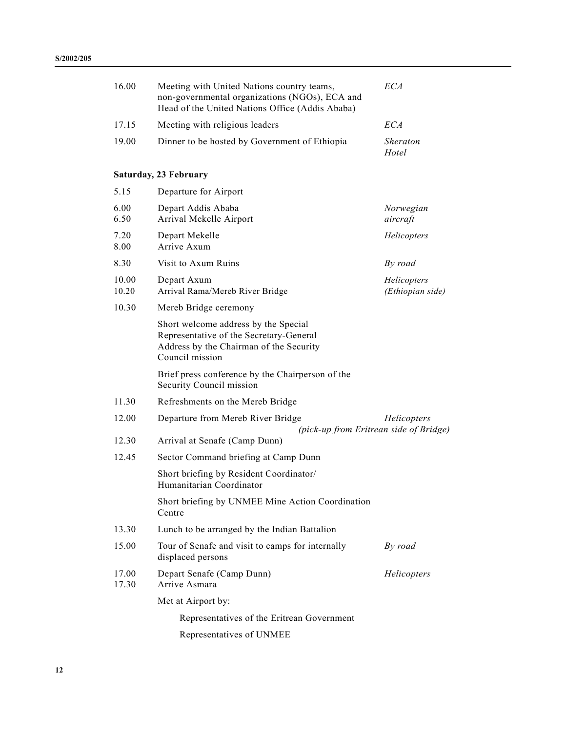| 16.00                 | Meeting with United Nations country teams,<br>non-governmental organizations (NGOs), ECA and<br>Head of the United Nations Office (Addis Ababa) | <b>ECA</b>                      |  |  |  |  |  |
|-----------------------|-------------------------------------------------------------------------------------------------------------------------------------------------|---------------------------------|--|--|--|--|--|
| 17.15                 | Meeting with religious leaders                                                                                                                  | ECA                             |  |  |  |  |  |
| 19.00                 | Dinner to be hosted by Government of Ethiopia                                                                                                   | <i>Sheraton</i><br>Hotel        |  |  |  |  |  |
| Saturday, 23 February |                                                                                                                                                 |                                 |  |  |  |  |  |
| 5.15                  | Departure for Airport                                                                                                                           |                                 |  |  |  |  |  |
| 6.00<br>6.50          | Depart Addis Ababa<br>Arrival Mekelle Airport                                                                                                   | Norwegian<br>aircraft           |  |  |  |  |  |
| 7.20<br>8.00          | Depart Mekelle<br>Arrive Axum                                                                                                                   | Helicopters                     |  |  |  |  |  |
| 8.30                  | Visit to Axum Ruins                                                                                                                             | By road                         |  |  |  |  |  |
| 10.00<br>10.20        | Depart Axum<br>Arrival Rama/Mereb River Bridge                                                                                                  | Helicopters<br>(Ethiopian side) |  |  |  |  |  |
| 10.30                 | Mereb Bridge ceremony                                                                                                                           |                                 |  |  |  |  |  |
|                       | Short welcome address by the Special<br>Representative of the Secretary-General<br>Address by the Chairman of the Security<br>Council mission   |                                 |  |  |  |  |  |
|                       | Brief press conference by the Chairperson of the<br>Security Council mission                                                                    |                                 |  |  |  |  |  |
| 11.30                 | Refreshments on the Mereb Bridge                                                                                                                |                                 |  |  |  |  |  |
| 12.00                 | Departure from Mereb River Bridge<br>(pick-up from Eritrean side of Bridge)                                                                     | Helicopters                     |  |  |  |  |  |
| 12.30                 | Arrival at Senafe (Camp Dunn)                                                                                                                   |                                 |  |  |  |  |  |
| 12.45                 | Sector Command briefing at Camp Dunn                                                                                                            |                                 |  |  |  |  |  |
|                       | Short briefing by Resident Coordinator/<br>Humanitarian Coordinator                                                                             |                                 |  |  |  |  |  |
|                       | Short briefing by UNMEE Mine Action Coordination<br>Centre                                                                                      |                                 |  |  |  |  |  |
| 13.30                 | Lunch to be arranged by the Indian Battalion                                                                                                    |                                 |  |  |  |  |  |
| 15.00                 | Tour of Senafe and visit to camps for internally<br>displaced persons                                                                           | By road                         |  |  |  |  |  |
| 17.00<br>17.30        | Depart Senafe (Camp Dunn)<br>Arrive Asmara                                                                                                      | Helicopters                     |  |  |  |  |  |
|                       | Met at Airport by:                                                                                                                              |                                 |  |  |  |  |  |
|                       | Representatives of the Eritrean Government                                                                                                      |                                 |  |  |  |  |  |
|                       | Representatives of UNMEE                                                                                                                        |                                 |  |  |  |  |  |